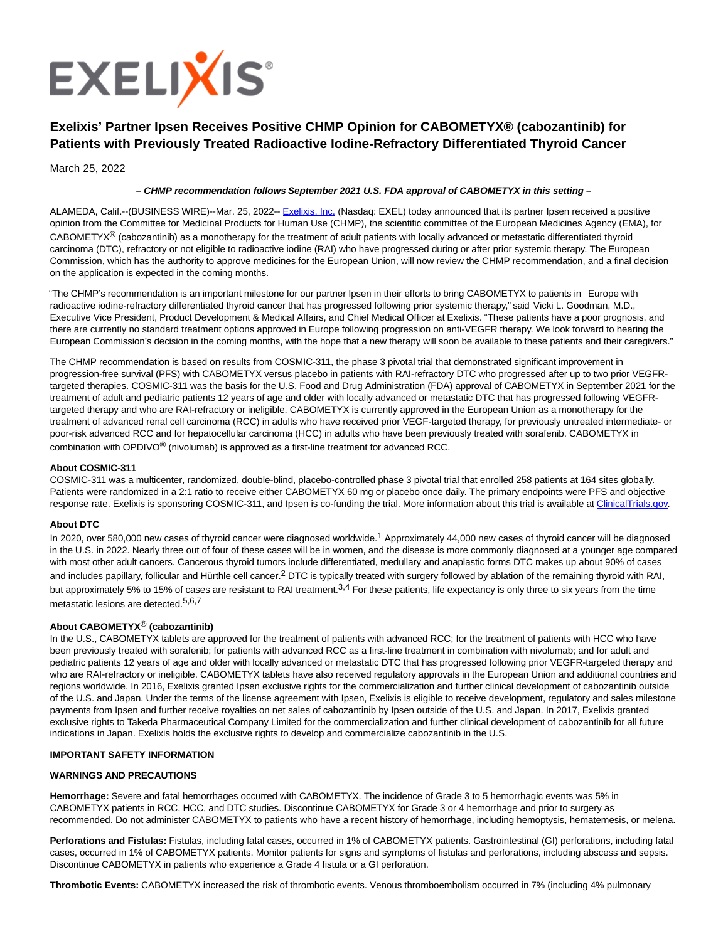

# **Exelixis' Partner Ipsen Receives Positive CHMP Opinion for CABOMETYX® (cabozantinib) for Patients with Previously Treated Radioactive Iodine-Refractory Differentiated Thyroid Cancer**

March 25, 2022

## **– CHMP recommendation follows September 2021 U.S. FDA approval of CABOMETYX in this setting –**

ALAMEDA, Calif.--(BUSINESS WIRE)--Mar. 25, 2022-- [Exelixis, Inc. \(](https://cts.businesswire.com/ct/CT?id=smartlink&url=http%3A%2F%2Fwww.exelixis.com%2F&esheet=52619783&newsitemid=20220323005988&lan=en-US&anchor=Exelixis%2C+Inc.&index=1&md5=ac7591208bca36d21b44dd14249019e0)Nasdaq: EXEL) today announced that its partner Ipsen received a positive opinion from the Committee for Medicinal Products for Human Use (CHMP), the scientific committee of the European Medicines Agency (EMA), for CABOMETYX<sup>®</sup> (cabozantinib) as a monotherapy for the treatment of adult patients with locally advanced or metastatic differentiated thyroid carcinoma (DTC), refractory or not eligible to radioactive iodine (RAI) who have progressed during or after prior systemic therapy. The European Commission, which has the authority to approve medicines for the European Union, will now review the CHMP recommendation, and a final decision on the application is expected in the coming months.

"The CHMP's recommendation is an important milestone for our partner Ipsen in their efforts to bring CABOMETYX to patients in Europe with radioactive iodine-refractory differentiated thyroid cancer that has progressed following prior systemic therapy," said Vicki L. Goodman, M.D., Executive Vice President, Product Development & Medical Affairs, and Chief Medical Officer at Exelixis. "These patients have a poor prognosis, and there are currently no standard treatment options approved in Europe following progression on anti-VEGFR therapy. We look forward to hearing the European Commission's decision in the coming months, with the hope that a new therapy will soon be available to these patients and their caregivers."

The CHMP recommendation is based on results from COSMIC-311, the phase 3 pivotal trial that demonstrated significant improvement in progression-free survival (PFS) with CABOMETYX versus placebo in patients with RAI-refractory DTC who progressed after up to two prior VEGFRtargeted therapies. COSMIC-311 was the basis for the U.S. Food and Drug Administration (FDA) approval of CABOMETYX in September 2021 for the treatment of adult and pediatric patients 12 years of age and older with locally advanced or metastatic DTC that has progressed following VEGFRtargeted therapy and who are RAI-refractory or ineligible. CABOMETYX is currently approved in the European Union as a monotherapy for the treatment of advanced renal cell carcinoma (RCC) in adults who have received prior VEGF-targeted therapy, for previously untreated intermediate- or poor-risk advanced RCC and for hepatocellular carcinoma (HCC) in adults who have been previously treated with sorafenib. CABOMETYX in combination with OPDIVO® (nivolumab) is approved as a first-line treatment for advanced RCC.

## **About COSMIC-311**

COSMIC-311 was a multicenter, randomized, double-blind, placebo-controlled phase 3 pivotal trial that enrolled 258 patients at 164 sites globally. Patients were randomized in a 2:1 ratio to receive either CABOMETYX 60 mg or placebo once daily. The primary endpoints were PFS and objective response rate. Exelixis is sponsoring COSMIC-311, and Ipsen is co-funding the trial. More information about this trial is available a[t ClinicalTrials.gov.](https://cts.businesswire.com/ct/CT?id=smartlink&url=https%3A%2F%2Fclinicaltrials.gov%2Fct2%2Fshow%2FNCT03690388&esheet=52619783&newsitemid=20220323005988&lan=en-US&anchor=ClinicalTrials.gov&index=2&md5=96b16d5332ffe4648053746b30c0b189)

## **About DTC**

In 2020, over 580,000 new cases of thyroid cancer were diagnosed worldwide.<sup>1</sup> Approximately 44,000 new cases of thyroid cancer will be diagnosed in the U.S. in 2022. Nearly three out of four of these cases will be in women, and the disease is more commonly diagnosed at a younger age compared with most other adult cancers. Cancerous thyroid tumors include differentiated, medullary and anaplastic forms DTC makes up about 90% of cases and includes papillary, follicular and Hürthle cell cancer.<sup>2</sup> DTC is typically treated with surgery followed by ablation of the remaining thyroid with RAI, but approximately 5% to 15% of cases are resistant to RAI treatment.<sup>3,4</sup> For these patients, life expectancy is only three to six years from the time metastatic lesions are detected.5,6,7

## **About CABOMETYX**® **(cabozantinib)**

In the U.S., CABOMETYX tablets are approved for the treatment of patients with advanced RCC; for the treatment of patients with HCC who have been previously treated with sorafenib; for patients with advanced RCC as a first-line treatment in combination with nivolumab; and for adult and pediatric patients 12 years of age and older with locally advanced or metastatic DTC that has progressed following prior VEGFR-targeted therapy and who are RAI-refractory or ineligible. CABOMETYX tablets have also received regulatory approvals in the European Union and additional countries and regions worldwide. In 2016, Exelixis granted Ipsen exclusive rights for the commercialization and further clinical development of cabozantinib outside of the U.S. and Japan. Under the terms of the license agreement with Ipsen, Exelixis is eligible to receive development, regulatory and sales milestone payments from Ipsen and further receive royalties on net sales of cabozantinib by Ipsen outside of the U.S. and Japan. In 2017, Exelixis granted exclusive rights to Takeda Pharmaceutical Company Limited for the commercialization and further clinical development of cabozantinib for all future indications in Japan. Exelixis holds the exclusive rights to develop and commercialize cabozantinib in the U.S.

## **IMPORTANT SAFETY INFORMATION**

## **WARNINGS AND PRECAUTIONS**

**Hemorrhage:** Severe and fatal hemorrhages occurred with CABOMETYX. The incidence of Grade 3 to 5 hemorrhagic events was 5% in CABOMETYX patients in RCC, HCC, and DTC studies. Discontinue CABOMETYX for Grade 3 or 4 hemorrhage and prior to surgery as recommended. Do not administer CABOMETYX to patients who have a recent history of hemorrhage, including hemoptysis, hematemesis, or melena.

**Perforations and Fistulas:** Fistulas, including fatal cases, occurred in 1% of CABOMETYX patients. Gastrointestinal (GI) perforations, including fatal cases, occurred in 1% of CABOMETYX patients. Monitor patients for signs and symptoms of fistulas and perforations, including abscess and sepsis. Discontinue CABOMETYX in patients who experience a Grade 4 fistula or a GI perforation.

**Thrombotic Events:** CABOMETYX increased the risk of thrombotic events. Venous thromboembolism occurred in 7% (including 4% pulmonary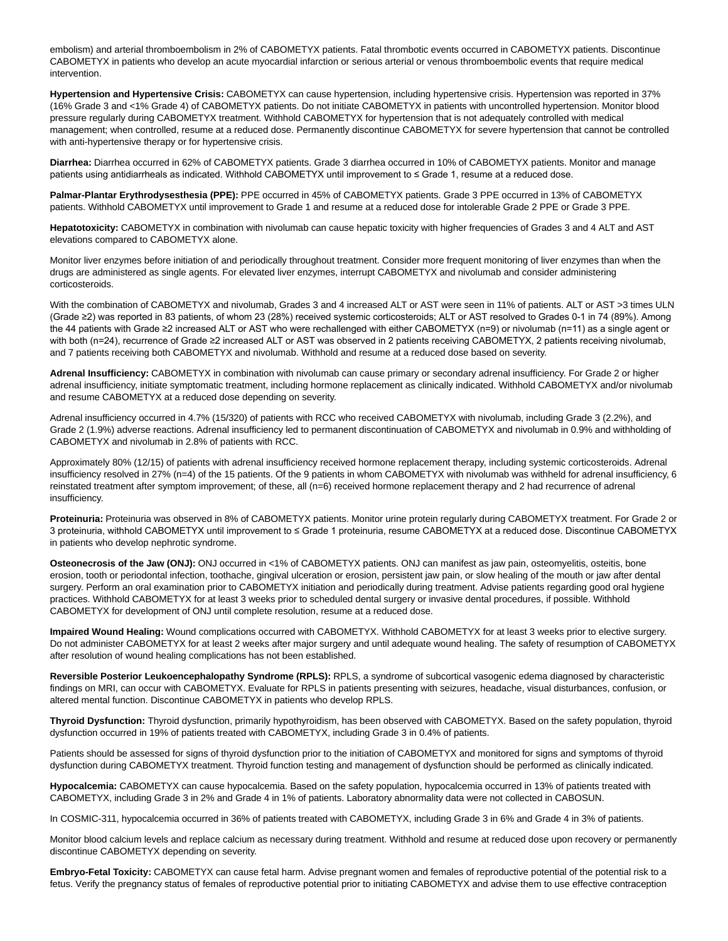embolism) and arterial thromboembolism in 2% of CABOMETYX patients. Fatal thrombotic events occurred in CABOMETYX patients. Discontinue CABOMETYX in patients who develop an acute myocardial infarction or serious arterial or venous thromboembolic events that require medical intervention.

**Hypertension and Hypertensive Crisis:** CABOMETYX can cause hypertension, including hypertensive crisis. Hypertension was reported in 37% (16% Grade 3 and <1% Grade 4) of CABOMETYX patients. Do not initiate CABOMETYX in patients with uncontrolled hypertension. Monitor blood pressure regularly during CABOMETYX treatment. Withhold CABOMETYX for hypertension that is not adequately controlled with medical management; when controlled, resume at a reduced dose. Permanently discontinue CABOMETYX for severe hypertension that cannot be controlled with anti-hypertensive therapy or for hypertensive crisis.

**Diarrhea:** Diarrhea occurred in 62% of CABOMETYX patients. Grade 3 diarrhea occurred in 10% of CABOMETYX patients. Monitor and manage patients using antidiarrheals as indicated. Withhold CABOMETYX until improvement to ≤ Grade 1, resume at a reduced dose.

**Palmar-Plantar Erythrodysesthesia (PPE):** PPE occurred in 45% of CABOMETYX patients. Grade 3 PPE occurred in 13% of CABOMETYX patients. Withhold CABOMETYX until improvement to Grade 1 and resume at a reduced dose for intolerable Grade 2 PPE or Grade 3 PPE.

**Hepatotoxicity:** CABOMETYX in combination with nivolumab can cause hepatic toxicity with higher frequencies of Grades 3 and 4 ALT and AST elevations compared to CABOMETYX alone.

Monitor liver enzymes before initiation of and periodically throughout treatment. Consider more frequent monitoring of liver enzymes than when the drugs are administered as single agents. For elevated liver enzymes, interrupt CABOMETYX and nivolumab and consider administering corticosteroids.

With the combination of CABOMETYX and nivolumab. Grades 3 and 4 increased ALT or AST were seen in 11% of patients. ALT or AST >3 times ULN (Grade ≥2) was reported in 83 patients, of whom 23 (28%) received systemic corticosteroids; ALT or AST resolved to Grades 0-1 in 74 (89%). Among the 44 patients with Grade ≥2 increased ALT or AST who were rechallenged with either CABOMETYX (n=9) or nivolumab (n=11) as a single agent or with both (n=24), recurrence of Grade ≥2 increased ALT or AST was observed in 2 patients receiving CABOMETYX, 2 patients receiving nivolumab, and 7 patients receiving both CABOMETYX and nivolumab. Withhold and resume at a reduced dose based on severity.

**Adrenal Insufficiency:** CABOMETYX in combination with nivolumab can cause primary or secondary adrenal insufficiency. For Grade 2 or higher adrenal insufficiency, initiate symptomatic treatment, including hormone replacement as clinically indicated. Withhold CABOMETYX and/or nivolumab and resume CABOMETYX at a reduced dose depending on severity.

Adrenal insufficiency occurred in 4.7% (15/320) of patients with RCC who received CABOMETYX with nivolumab, including Grade 3 (2.2%), and Grade 2 (1.9%) adverse reactions. Adrenal insufficiency led to permanent discontinuation of CABOMETYX and nivolumab in 0.9% and withholding of CABOMETYX and nivolumab in 2.8% of patients with RCC.

Approximately 80% (12/15) of patients with adrenal insufficiency received hormone replacement therapy, including systemic corticosteroids. Adrenal insufficiency resolved in 27% (n=4) of the 15 patients. Of the 9 patients in whom CABOMETYX with nivolumab was withheld for adrenal insufficiency, 6 reinstated treatment after symptom improvement; of these, all (n=6) received hormone replacement therapy and 2 had recurrence of adrenal insufficiency.

**Proteinuria:** Proteinuria was observed in 8% of CABOMETYX patients. Monitor urine protein regularly during CABOMETYX treatment. For Grade 2 or 3 proteinuria, withhold CABOMETYX until improvement to ≤ Grade 1 proteinuria, resume CABOMETYX at a reduced dose. Discontinue CABOMETYX in patients who develop nephrotic syndrome.

**Osteonecrosis of the Jaw (ONJ):** ONJ occurred in <1% of CABOMETYX patients. ONJ can manifest as jaw pain, osteomyelitis, osteitis, bone erosion, tooth or periodontal infection, toothache, gingival ulceration or erosion, persistent jaw pain, or slow healing of the mouth or jaw after dental surgery. Perform an oral examination prior to CABOMETYX initiation and periodically during treatment. Advise patients regarding good oral hygiene practices. Withhold CABOMETYX for at least 3 weeks prior to scheduled dental surgery or invasive dental procedures, if possible. Withhold CABOMETYX for development of ONJ until complete resolution, resume at a reduced dose.

**Impaired Wound Healing:** Wound complications occurred with CABOMETYX. Withhold CABOMETYX for at least 3 weeks prior to elective surgery. Do not administer CABOMETYX for at least 2 weeks after major surgery and until adequate wound healing. The safety of resumption of CABOMETYX after resolution of wound healing complications has not been established.

**Reversible Posterior Leukoencephalopathy Syndrome (RPLS):** RPLS, a syndrome of subcortical vasogenic edema diagnosed by characteristic findings on MRI, can occur with CABOMETYX. Evaluate for RPLS in patients presenting with seizures, headache, visual disturbances, confusion, or altered mental function. Discontinue CABOMETYX in patients who develop RPLS.

**Thyroid Dysfunction:** Thyroid dysfunction, primarily hypothyroidism, has been observed with CABOMETYX. Based on the safety population, thyroid dysfunction occurred in 19% of patients treated with CABOMETYX, including Grade 3 in 0.4% of patients.

Patients should be assessed for signs of thyroid dysfunction prior to the initiation of CABOMETYX and monitored for signs and symptoms of thyroid dysfunction during CABOMETYX treatment. Thyroid function testing and management of dysfunction should be performed as clinically indicated.

**Hypocalcemia:** CABOMETYX can cause hypocalcemia. Based on the safety population, hypocalcemia occurred in 13% of patients treated with CABOMETYX, including Grade 3 in 2% and Grade 4 in 1% of patients. Laboratory abnormality data were not collected in CABOSUN.

In COSMIC-311, hypocalcemia occurred in 36% of patients treated with CABOMETYX, including Grade 3 in 6% and Grade 4 in 3% of patients.

Monitor blood calcium levels and replace calcium as necessary during treatment. Withhold and resume at reduced dose upon recovery or permanently discontinue CABOMETYX depending on severity.

**Embryo-Fetal Toxicity:** CABOMETYX can cause fetal harm. Advise pregnant women and females of reproductive potential of the potential risk to a fetus. Verify the pregnancy status of females of reproductive potential prior to initiating CABOMETYX and advise them to use effective contraception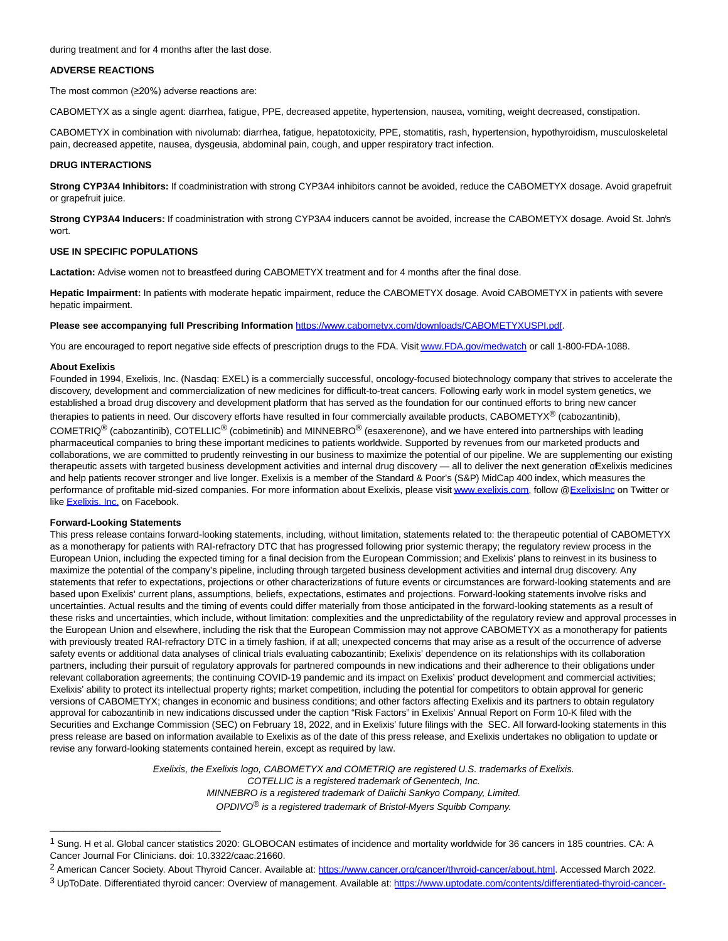during treatment and for 4 months after the last dose.

## **ADVERSE REACTIONS**

The most common (≥20%) adverse reactions are:

CABOMETYX as a single agent: diarrhea, fatigue, PPE, decreased appetite, hypertension, nausea, vomiting, weight decreased, constipation.

CABOMETYX in combination with nivolumab: diarrhea, fatigue, hepatotoxicity, PPE, stomatitis, rash, hypertension, hypothyroidism, musculoskeletal pain, decreased appetite, nausea, dysgeusia, abdominal pain, cough, and upper respiratory tract infection.

#### **DRUG INTERACTIONS**

**Strong CYP3A4 Inhibitors:** If coadministration with strong CYP3A4 inhibitors cannot be avoided, reduce the CABOMETYX dosage. Avoid grapefruit or grapefruit juice.

**Strong CYP3A4 Inducers:** If coadministration with strong CYP3A4 inducers cannot be avoided, increase the CABOMETYX dosage. Avoid St. John's wort.

## **USE IN SPECIFIC POPULATIONS**

Lactation: Advise women not to breastfeed during CABOMETYX treatment and for 4 months after the final dose.

**Hepatic Impairment:** In patients with moderate hepatic impairment, reduce the CABOMETYX dosage. Avoid CABOMETYX in patients with severe hepatic impairment.

**Please see accompanying full Prescribing Information** [https://www.cabometyx.com/downloads/CABOMETYXUSPI.pdf.](https://cts.businesswire.com/ct/CT?id=smartlink&url=https%3A%2F%2Fwww.cabometyx.com%2Fdownloads%2FCABOMETYXUSPI.pdf&esheet=52619783&newsitemid=20220323005988&lan=en-US&anchor=https%3A%2F%2Fwww.cabometyx.com%2Fdownloads%2FCABOMETYXUSPI.pdf&index=3&md5=5581cc81cda1745048d7bb8c4667c310)

You are encouraged to report negative side effects of prescription drugs to the FDA. Visi[t www.FDA.gov/medwatch o](https://cts.businesswire.com/ct/CT?id=smartlink&url=http%3A%2F%2Fwww.fda.gov%2Fmedwatch&esheet=52619783&newsitemid=20220323005988&lan=en-US&anchor=www.FDA.gov%2Fmedwatch&index=4&md5=b2cb76e2370ff091a49a6662d97c3df1)r call 1-800-FDA-1088.

## **About Exelixis**

Founded in 1994, Exelixis, Inc. (Nasdaq: EXEL) is a commercially successful, oncology-focused biotechnology company that strives to accelerate the discovery, development and commercialization of new medicines for difficult-to-treat cancers. Following early work in model system genetics, we established a broad drug discovery and development platform that has served as the foundation for our continued efforts to bring new cancer therapies to patients in need. Our discovery efforts have resulted in four commercially available products, CABOMETYX® (cabozantinib), COMETRIQ<sup>®</sup> (cabozantinib), COTELLIC<sup>®</sup> (cobimetinib) and MINNEBRO<sup>®</sup> (esaxerenone), and we have entered into partnerships with leading pharmaceutical companies to bring these important medicines to patients worldwide. Supported by revenues from our marketed products and collaborations, we are committed to prudently reinvesting in our business to maximize the potential of our pipeline. We are supplementing our existing therapeutic assets with targeted business development activities and internal drug discovery - all to deliver the next generation of sxelixis medicines and help patients recover stronger and live longer. Exelixis is a member of the Standard & Poor's (S&P) MidCap 400 index, which measures the performance of profitable mid-sized companies. For more information about Exelixis, please visi[t www.exelixis.com,](https://cts.businesswire.com/ct/CT?id=smartlink&url=https%3A%2F%2Fwww.exelixis.com%2F&esheet=52619783&newsitemid=20220323005988&lan=en-US&anchor=www.exelixis.com&index=5&md5=c216b2189e6e7021b3e93ceadcbe1354) follow [@ExelixisInc o](https://cts.businesswire.com/ct/CT?id=smartlink&url=https%3A%2F%2Ftwitter.com%2FExelixisInc&esheet=52619783&newsitemid=20220323005988&lan=en-US&anchor=ExelixisInc&index=6&md5=aac9483612382c031da573bfb5d6324c)n Twitter or lik[e Exelixis, Inc. o](https://cts.businesswire.com/ct/CT?id=smartlink&url=https%3A%2F%2Fwww.facebook.com%2FExelixisInc%2F&esheet=52619783&newsitemid=20220323005988&lan=en-US&anchor=Exelixis%2C+Inc.&index=7&md5=2cc93f322eb7c11ba34b2e6047ced483)n Facebook.

#### **Forward-Looking Statements**

\_\_\_\_\_\_\_\_\_\_\_\_\_\_\_\_\_\_\_\_\_\_\_\_\_\_\_\_\_\_\_\_\_\_\_\_\_

This press release contains forward-looking statements, including, without limitation, statements related to: the therapeutic potential of CABOMETYX as a monotherapy for patients with RAI-refractory DTC that has progressed following prior systemic therapy; the regulatory review process in the European Union, including the expected timing for a final decision from the European Commission; and Exelixis' plans to reinvest in its business to maximize the potential of the company's pipeline, including through targeted business development activities and internal drug discovery. Any statements that refer to expectations, projections or other characterizations of future events or circumstances are forward-looking statements and are based upon Exelixis' current plans, assumptions, beliefs, expectations, estimates and projections. Forward-looking statements involve risks and uncertainties. Actual results and the timing of events could differ materially from those anticipated in the forward-looking statements as a result of these risks and uncertainties, which include, without limitation: complexities and the unpredictability of the regulatory review and approval processes in the European Union and elsewhere, including the risk that the European Commission may not approve CABOMETYX as a monotherapy for patients with previously treated RAI-refractory DTC in a timely fashion, if at all; unexpected concerns that may arise as a result of the occurrence of adverse safety events or additional data analyses of clinical trials evaluating cabozantinib; Exelixis' dependence on its relationships with its collaboration partners, including their pursuit of regulatory approvals for partnered compounds in new indications and their adherence to their obligations under relevant collaboration agreements; the continuing COVID-19 pandemic and its impact on Exelixis' product development and commercial activities; Exelixis' ability to protect its intellectual property rights; market competition, including the potential for competitors to obtain approval for generic versions of CABOMETYX; changes in economic and business conditions; and other factors affecting Exelixis and its partners to obtain regulatory approval for cabozantinib in new indications discussed under the caption "Risk Factors" in Exelixis' Annual Report on Form 10-K filed with the Securities and Exchange Commission (SEC) on February 18, 2022, and in Exelixis' future filings with the SEC. All forward-looking statements in this press release are based on information available to Exelixis as of the date of this press release, and Exelixis undertakes no obligation to update or revise any forward-looking statements contained herein, except as required by law.

> Exelixis, the Exelixis logo, CABOMETYX and COMETRIQ are registered U.S. trademarks of Exelixis. COTELLIC is a registered trademark of Genentech, Inc. MINNEBRO is a registered trademark of Daiichi Sankyo Company, Limited. OPDIVO® is a registered trademark of Bristol-Myers Squibb Company.

<sup>&</sup>lt;sup>1</sup> Sung. H et al. Global cancer statistics 2020: GLOBOCAN estimates of incidence and mortality worldwide for 36 cancers in 185 countries. CA: A Cancer Journal For Clinicians. doi: 10.3322/caac.21660.

<sup>&</sup>lt;sup>2</sup> American Cancer Society. About Thyroid Cancer. Available at: [https://www.cancer.org/cancer/thyroid-cancer/about.html.](https://cts.businesswire.com/ct/CT?id=smartlink&url=https%3A%2F%2Fwww.cancer.org%2Fcancer%2Fthyroid-cancer%2Fabout.html&esheet=52619783&newsitemid=20220323005988&lan=en-US&anchor=https%3A%2F%2Fwww.cancer.org%2Fcancer%2Fthyroid-cancer%2Fabout.html&index=8&md5=660925b73344ab133f471a83f2dc4a87) Accessed March 2022.

<sup>3</sup> UpToDate. Differentiated thyroid cancer: Overview of management. Available at: [https://www.uptodate.com/contents/differentiated-thyroid-cancer-](https://cts.businesswire.com/ct/CT?id=smartlink&url=https%3A%2F%2Fwww.uptodate.com%2Fcontents%2Fdifferentiated-thyroid-cancer-overview-of-management&esheet=52619783&newsitemid=20220323005988&lan=en-US&anchor=https%3A%2F%2Fwww.uptodate.com%2Fcontents%2Fdifferentiated-thyroid-cancer-overview-of-management&index=9&md5=fe890bdf817040a2f62dfa811b007f36)